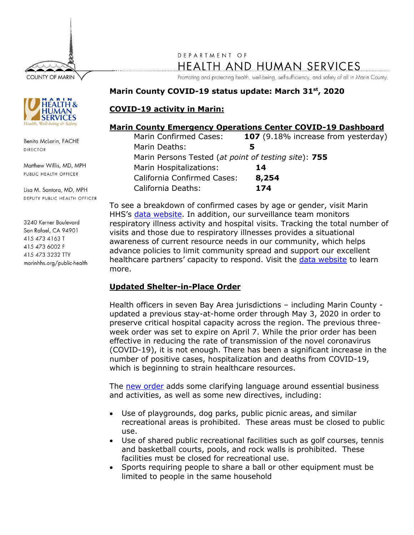

DEPARTMENT OF **HEALTH AND HUMAN SERVICES** 

Promoting and protecting health, well-being, self-sufficiency, and safety of all in Marin County.

### **Marin County COVID-19 status update: March 31 st , 2020**

## **COVID-19 activity in Marin:**

#### **Marin County Emergency Operations Center COVID-19 Dashboard**

| Marin Confirmed Cases:                               | 107 (9.18% increase from yesterday) |
|------------------------------------------------------|-------------------------------------|
| Marin Deaths:                                        |                                     |
| Marin Persons Tested (at point of testing site): 755 |                                     |
| Marin Hospitalizations:                              | 14                                  |
| California Confirmed Cases:                          | 8,254                               |
| <b>California Deaths:</b>                            | 174                                 |

To see a breakdown of confirmed cases by age or gender, visit Marin HHS's [data website.](https://coronavirus.marinhhs.org/surveillance) In addition, our surveillance team monitors respiratory illness activity and hospital visits. Tracking the total number of visits and those due to respiratory illnesses provides a situational awareness of current resource needs in our community, which helps advance policies to limit community spread and support our excellent healthcare partners' capacity to respond. Visit the [data website](https://coronavirus.marinhhs.org/surveillance) to learn more.

# **Updated Shelter-in-Place Order**

Health officers in seven Bay Area jurisdictions – including Marin County updated a previous stay-at-home order through May 3, 2020 in order to preserve critical hospital capacity across the region. The previous threeweek order was set to expire on April 7. While the prior order has been effective in reducing the rate of transmission of the novel coronavirus (COVID-19), it is not enough. There has been a significant increase in the number of positive cases, hospitalization and deaths from COVID-19, which is beginning to strain healthcare resources.

The [new order](https://coronavirus.marinhhs.org/sites/default/files/2020-03/marin_final-superseding-shelter-in-place-order.pdf) adds some clarifying language around essential business and activities, as well as some new directives, including:

- Use of playgrounds, dog parks, public picnic areas, and similar recreational areas is prohibited. These areas must be closed to public use.
- Use of shared public recreational facilities such as golf courses, tennis and basketball courts, pools, and rock walls is prohibited. These facilities must be closed for recreational use.
- Sports requiring people to share a ball or other equipment must be limited to people in the same household



Benita McLarin, FACHE **DIRECTOR** 

Matthew Willis, MD, MPH PUBLIC HEALTH OFFICER

Lisa M. Santora, MD, MPH DEPUTY PUBLIC HEALTH OFFICER

3240 Kerner Boulevard San Rafael, CA 94901 415 473 4163 T 415 473 6002 F 415 473 3232 TTY marinhhs.org/public-health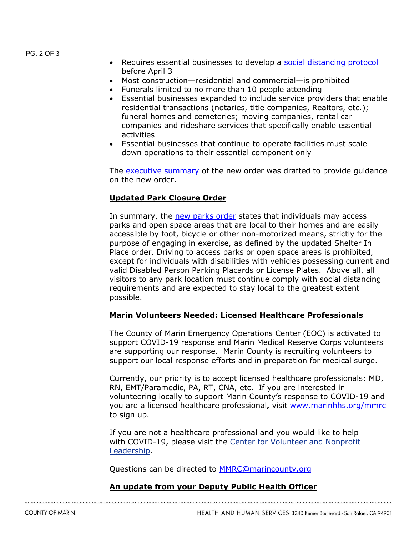PG. 2 OF 3

- Requires essential businesses to develop a [social distancing protocol](https://coronavirus.marinhhs.org/file/65) before April 3
- Most construction—residential and commercial—is prohibited
- Funerals limited to no more than 10 people attending
- Essential businesses expanded to include service providers that enable residential transactions (notaries, title companies, Realtors, etc.); funeral homes and cemeteries; moving companies, rental car companies and rideshare services that specifically enable essential activities
- Essential businesses that continue to operate facilities must scale down operations to their essential component only

The [executive summary](https://coronavirus.marinhhs.org/file/63) of the new order was drafted to provide guidance on the new order.

## **Updated Park Closure Order**

In summary, the [new parks order](https://coronavirus.marinhhs.org/sites/default/files/2020-03/20200331131045626.pdf) states that individuals may access parks and open space areas that are local to their homes and are easily accessible by foot, bicycle or other non-motorized means, strictly for the purpose of engaging in exercise, as defined by the updated Shelter In Place order. Driving to access parks or open space areas is prohibited, except for individuals with disabilities with vehicles possessing current and valid Disabled Person Parking Placards or License Plates. Above all, all visitors to any park location must continue comply with social distancing requirements and are expected to stay local to the greatest extent possible.

### **Marin Volunteers Needed: Licensed Healthcare Professionals**

The County of Marin Emergency Operations Center (EOC) is activated to support COVID-19 response and Marin Medical Reserve Corps volunteers are supporting our response. Marin County is recruiting volunteers to support our local response efforts and in preparation for medical surge.

Currently, our priority is to accept licensed healthcare professionals: MD, RN, EMT/Paramedic, PA, RT, CNA, etc**.** If you are interested in volunteering locally to support Marin County's response to COVID-19 and you are a licensed healthcare professional**,** visit [www.marinhhs.org/mmrc](http://www.marinhhs.org/mmrc) to sign up.

If you are not a healthcare professional and you would like to help with COVID-19, please visit the [Center for Volunteer and Nonprofit](http://cvnl.org/volunteerism/disaster-services/)  [Leadership.](http://cvnl.org/volunteerism/disaster-services/)

Questions can be directed to [MMRC@marincounty.org](mailto:MMRC@marincounty.org)

### **An update from your Deputy Public Health Officer**